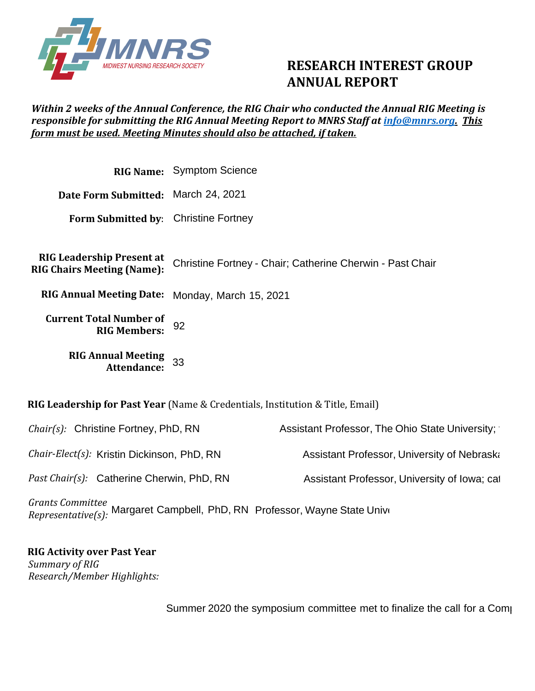

## **RESEARCH INTEREST GROUP ANNUAL REPORT**

## *Within 2 weeks of the Annual Conference, the RIG Chair who conducted the Annual RIG Meeting is responsible for submitting the RIG Annual Meeting Report to MNRS Staff at [info@mnrs.org.](mailto:info@mnrs.org) This form must be used. Meeting Minutes should also be attached, if taken.*

|                                                                       | <b>RIG Name:</b> Symptom Science                                                     |
|-----------------------------------------------------------------------|--------------------------------------------------------------------------------------|
| Date Form Submitted: March 24, 2021                                   |                                                                                      |
| Form Submitted by: Christine Fortney                                  |                                                                                      |
| <b>RIG Leadership Present at</b><br><b>RIG Chairs Meeting (Name):</b> | Christine Fortney - Chair; Catherine Cherwin - Past Chair                            |
| RIG Annual Meeting Date: Monday, March 15, 2021                       |                                                                                      |
| <b>Current Total Number of</b><br><b>RIG Members:</b>                 | 92                                                                                   |
| <b>RIG Annual Meeting</b><br><b>Attendance:</b>                       | 33                                                                                   |
|                                                                       | <b>RIG Leadership for Past Year</b> (Name & Credentials, Institution & Title, Email) |

| <i>Chair(s):</i> Christine Fortney, PhD, RN                                                    | Assistant Professor, The Ohio State University; |
|------------------------------------------------------------------------------------------------|-------------------------------------------------|
| Chair-Elect(s): Kristin Dickinson, PhD, RN                                                     | Assistant Professor, University of Nebraska     |
| Past Chair(s): Catherine Cherwin, PhD, RN                                                      | Assistant Professor, University of Iowa; cat    |
| Grants Committee<br>Penresentative(s). Margaret Campbell, PhD, RN Professor, Wayne State Unive |                                                 |

*Grants Committee Representative(s):*  Margaret Campbell, PhD, RN

## **RIG Activity over Past Year**  *Summary of RIG Research/Member Highlights:*

Summer 2020 the symposium committee met to finalize the call for a Comp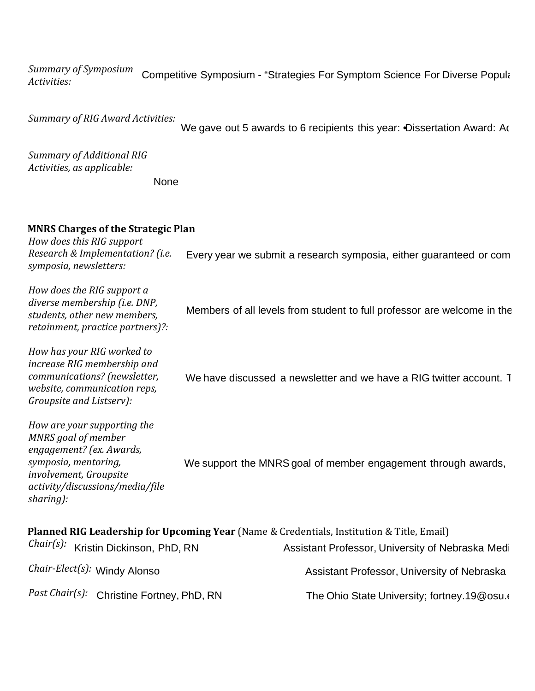*Summary of Symposium Activities:*  Competitive Symposium - "Strategies For Symptom Science For Diverse Populations During Unprecented Times During Units During Units During Units During Units During Units During During During During During During During Dur

*Summary of RIG Award Activities:* 

We gave out 5 awards to 6 recipients this year: Dissertation Award: Ac

*Summary of Additional RIG Activities, as applicable:*

None

## **MNRS Charges of the Strategic Plan**

*How does this RIG support Research & Implementation? (i.e. symposia, newsletters:* Every year we submit a research symposia, either quaranteed or com

*How does the RIG support a diverse membership (i.e. DNP, students, other new members, retainment, practice partners)?:* Members of all levels from student to full professor are welcome in the

*How has your RIG worked to increase RIG membership and communications? (newsletter, website, communication reps, Groupsite and Listserv):* We have discussed a newsletter and we have a RIG twitter account. This we still sent out of  $\alpha$ 

*How are your supporting the MNRS goal of member engagement? (ex. Awards, symposia, mentoring, involvement, Groupsite activity/discussions/media/file sharing):* We support the MNRS goal of member engagement through awards,

| Planned RIG Leadership for Upcoming Year (Name & Credentials, Institution & Title, Email) |                                           |                                                 |  |  |
|-------------------------------------------------------------------------------------------|-------------------------------------------|-------------------------------------------------|--|--|
|                                                                                           | Chair(s): Kristin Dickinson, PhD, RN      | Assistant Professor, University of Nebraska Med |  |  |
|                                                                                           | Chair-Elect(s): Windy Alonso              | Assistant Professor, University of Nebraska     |  |  |
|                                                                                           | Past Chair(s): Christine Fortney, PhD, RN | The Ohio State University; fortney.19@osu.org   |  |  |